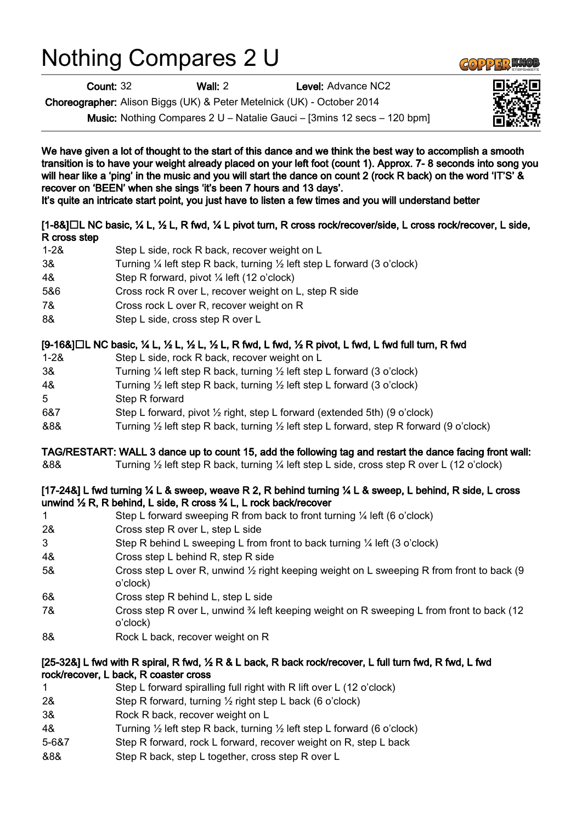# Nothing Compares 2 U

Count: 32 Wall: 2 Level: Advance NC2

Choreographer: Alison Biggs (UK) & Peter Metelnick (UK) - October 2014

Music: Nothing Compares 2 U – Natalie Gauci – [3mins 12 secs – 120 bpm]

We have given a lot of thought to the start of this dance and we think the best way to accomplish a smooth transition is to have your weight already placed on your left foot (count 1). Approx. 7- 8 seconds into song you will hear like a 'ping' in the music and you will start the dance on count 2 (rock R back) on the word 'IT'S' & recover on 'BEEN' when she sings 'it's been 7 hours and 13 days'.

It's quite an intricate start point, you just have to listen a few times and you will understand better

## [1-8&]□L NC basic, ¼ L, ½ L, R fwd, ¼ L pivot turn, R cross rock/recover/side, L cross rock/recover, L side, R cross step

| $1 - 28$ | Step L side, rock R back, recover weight on L                                                 |
|----------|-----------------------------------------------------------------------------------------------|
| 3&       | Turning $\frac{1}{4}$ left step R back, turning $\frac{1}{2}$ left step L forward (3 o'clock) |
| 4&       | Step R forward, pivot $\frac{1}{4}$ left (12 o'clock)                                         |
| 5&6      | Cross rock R over L, recover weight on L, step R side                                         |
| 7&       | Cross rock L over R, recover weight on R                                                      |
| ററ       | Charles Later and a sense Development                                                         |

8& Step L side, cross step R over L

## $[9-168]$   $\Box$  L NC basic,  $\frac{1}{2}$  L,  $\frac{1}{2}$  L,  $\frac{1}{2}$  L, R fwd, L fwd,  $\frac{1}{2}$  R pivot, L fwd, L fwd full turn, R fwd

- 1-2& Step L side, rock R back, recover weight on L
- 3& Turning ¼ left step R back, turning ½ left step L forward (3 o'clock)
- 4& Turning ½ left step R back, turning ½ left step L forward (3 o'clock)
- 5 Step R forward
- 6&7 Step L forward, pivot ½ right, step L forward (extended 5th) (9 o'clock)
- &8& Turning ½ left step R back, turning ½ left step L forward, step R forward (9 o'clock)

### TAG/RESTART: WALL 3 dance up to count 15, add the following tag and restart the dance facing front wall:

&8& Turning ½ left step R back, turning ¼ left step L side, cross step R over L (12 o'clock)

### [17-24&] L fwd turning ¼ L & sweep, weave R 2, R behind turning ¼ L & sweep, L behind, R side, L cross unwind ½ R, R behind, L side, R cross ¾ L, L rock back/recover

- 1 Step L forward sweeping R from back to front turning ¼ left (6 o'clock)
- 2& Cross step R over L, step L side
- 3 Step R behind L sweeping L from front to back turning ¼ left (3 o'clock)
- 4& Cross step L behind R, step R side
- 5& Cross step L over R, unwind 1/2 right keeping weight on L sweeping R from front to back (9 o'clock)
- 6& Cross step R behind L, step L side
- 7& Cross step R over L, unwind <sup>3</sup>/4 left keeping weight on R sweeping L from front to back (12 o'clock)
- 8& Rock L back, recover weight on R

#### [25-32&] L fwd with R spiral, R fwd, ½ R & L back, R back rock/recover, L full turn fwd, R fwd, L fwd rock/recover, L back, R coaster cross

- 1 Step L forward spiralling full right with R lift over L (12 o'clock)
- 2& Step R forward, turning ½ right step L back (6 o'clock)
- 3& Rock R back, recover weight on L
- 4& Turning ½ left step R back, turning ½ left step L forward (6 o'clock)
- 5-6&7 Step R forward, rock L forward, recover weight on R, step L back
- &8& Step R back, step L together, cross step R over L